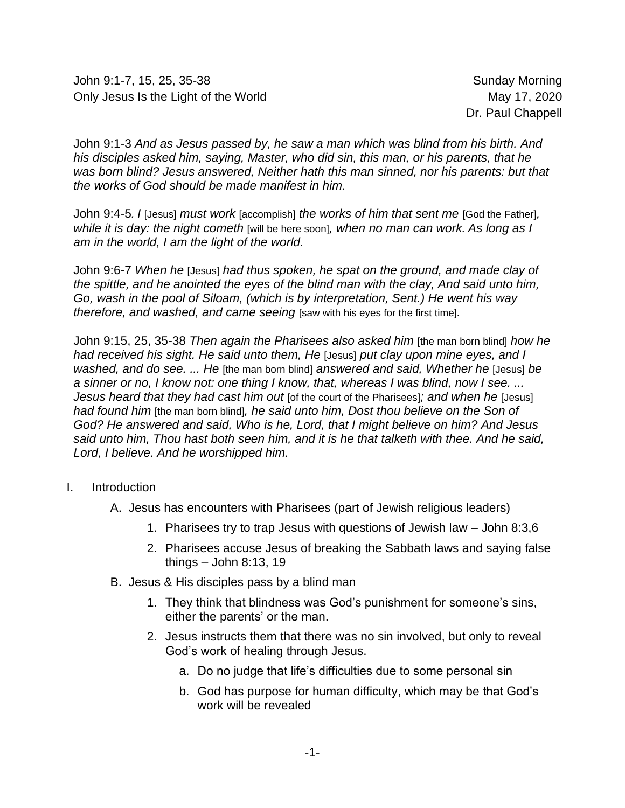John 9:1-7, 15, 25, 35-38 Sunday Morning Only Jesus Is the Light of the World May 17, 2020

Dr. Paul Chappell

John 9:1-3 *And as Jesus passed by, he saw a man which was blind from his birth. And his disciples asked him, saying, Master, who did sin, this man, or his parents, that he was born blind? Jesus answered, Neither hath this man sinned, nor his parents: but that the works of God should be made manifest in him.*

John 9:4-5*. I* [Jesus] *must work* [accomplish] *the works of him that sent me* [God the Father]*, while it is day: the night cometh* [will be here soon]*, when no man can work. As long as I am in the world, I am the light of the world.*

John 9:6-7 *When he* [Jesus] *had thus spoken, he spat on the ground, and made clay of the spittle, and he anointed the eyes of the blind man with the clay, And said unto him, Go, wash in the pool of Siloam, (which is by interpretation, Sent.) He went his way therefore, and washed, and came seeing* [saw with his eyes for the first time]*.*

John 9:15, 25, 35-38 *Then again the Pharisees also asked him* [the man born blind] *how he had received his sight. He said unto them, He* [Jesus] *put clay upon mine eyes, and I washed, and do see. ... He* [the man born blind] *answered and said, Whether he* [Jesus] *be a sinner or no, I know not: one thing I know, that, whereas I was blind, now I see. ... Jesus heard that they had cast him out* [of the court of the Pharisees]*; and when he* [Jesus] *had found him* [the man born blind]*, he said unto him, Dost thou believe on the Son of God? He answered and said, Who is he, Lord, that I might believe on him? And Jesus said unto him, Thou hast both seen him, and it is he that talketh with thee. And he said, Lord, I believe. And he worshipped him.*

## I. Introduction

- A. Jesus has encounters with Pharisees (part of Jewish religious leaders)
	- 1. Pharisees try to trap Jesus with questions of Jewish law John 8:3,6
	- 2. Pharisees accuse Jesus of breaking the Sabbath laws and saying false things – John 8:13, 19
- B. Jesus & His disciples pass by a blind man
	- 1. They think that blindness was God's punishment for someone's sins, either the parents' or the man.
	- 2. Jesus instructs them that there was no sin involved, but only to reveal God's work of healing through Jesus.
		- a. Do no judge that life's difficulties due to some personal sin
		- b. God has purpose for human difficulty, which may be that God's work will be revealed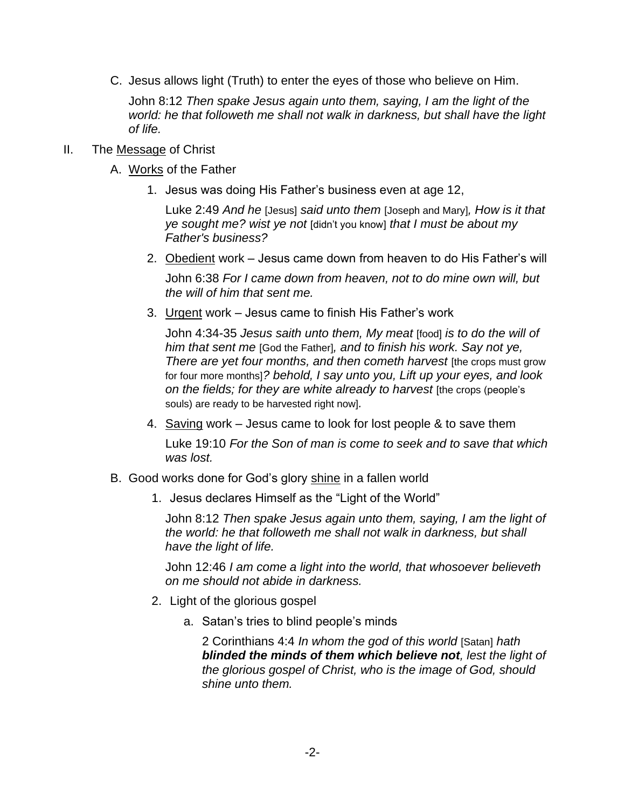C. Jesus allows light (Truth) to enter the eyes of those who believe on Him.

John 8:12 *Then spake Jesus again unto them, saying, I am the light of the world: he that followeth me shall not walk in darkness, but shall have the light of life.*

- II. The Message of Christ
	- A. Works of the Father
		- 1. Jesus was doing His Father's business even at age 12,

Luke 2:49 *And he* [Jesus] *said unto them* [Joseph and Mary]*, How is it that ye sought me? wist ye not* [didn't you know] *that I must be about my Father's business?*

2. Obedient work – Jesus came down from heaven to do His Father's will

John 6:38 *For I came down from heaven, not to do mine own will, but the will of him that sent me.*

3. Urgent work – Jesus came to finish His Father's work

John 4:34-35 *Jesus saith unto them, My meat* [food] *is to do the will of him that sent me* [God the Father]*, and to finish his work. Say not ye, There are yet four months, and then cometh harvest* [the crops must grow for four more months]*? behold, I say unto you, Lift up your eyes, and look on the fields; for they are white already to harvest* [the crops (people's souls) are ready to be harvested right now]*.*

4. Saving work – Jesus came to look for lost people & to save them

Luke 19:10 *For the Son of man is come to seek and to save that which was lost.*

- B. Good works done for God's glory shine in a fallen world
	- 1. Jesus declares Himself as the "Light of the World"

John 8:12 *Then spake Jesus again unto them, saying, I am the light of the world: he that followeth me shall not walk in darkness, but shall have the light of life.*

John 12:46 *I am come a light into the world, that whosoever believeth on me should not abide in darkness.*

- 2. Light of the glorious gospel
	- a. Satan's tries to blind people's minds

2 Corinthians 4:4 *In whom the god of this world* [Satan] *hath blinded the minds of them which believe not, lest the light of the glorious gospel of Christ, who is the image of God, should shine unto them.*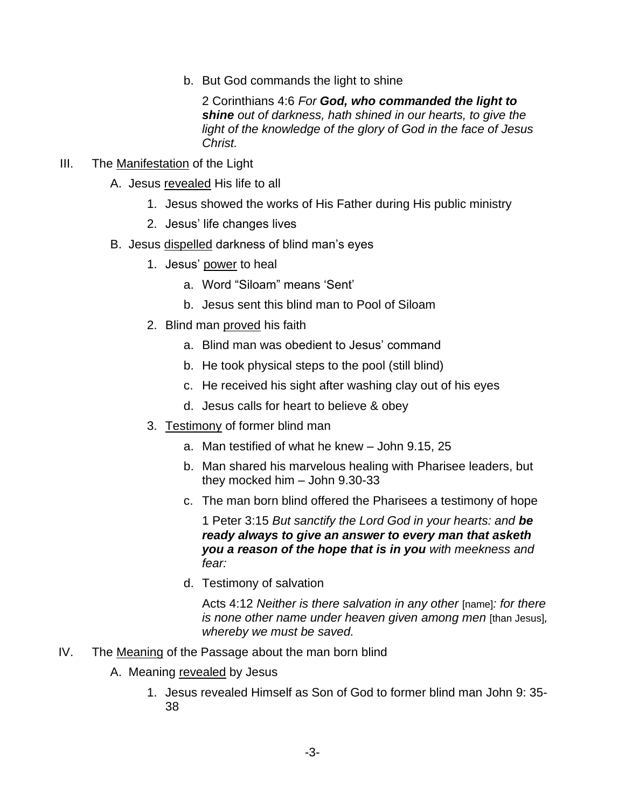b. But God commands the light to shine

2 Corinthians 4:6 *For God, who commanded the light to shine out of darkness, hath shined in our hearts, to give the light of the knowledge of the glory of God in the face of Jesus Christ.*

- III. The Manifestation of the Light
	- A. Jesus revealed His life to all
		- 1. Jesus showed the works of His Father during His public ministry
		- 2. Jesus' life changes lives
	- B. Jesus dispelled darkness of blind man's eyes
		- 1. Jesus' power to heal
			- a. Word "Siloam" means 'Sent'
			- b. Jesus sent this blind man to Pool of Siloam
		- 2. Blind man proved his faith
			- a. Blind man was obedient to Jesus' command
			- b. He took physical steps to the pool (still blind)
			- c. He received his sight after washing clay out of his eyes
			- d. Jesus calls for heart to believe & obey
		- 3. Testimony of former blind man
			- a. Man testified of what he knew John 9.15, 25
			- b. Man shared his marvelous healing with Pharisee leaders, but they mocked him – John 9.30-33
			- c. The man born blind offered the Pharisees a testimony of hope

1 Peter 3:15 *But sanctify the Lord God in your hearts: and be ready always to give an answer to every man that asketh you a reason of the hope that is in you with meekness and fear:*

d. Testimony of salvation

Acts 4:12 *Neither is there salvation in any other* [name]*: for there is none other name under heaven given among men* [than Jesus]*, whereby we must be saved.*

- IV. The Meaning of the Passage about the man born blind
	- A. Meaning revealed by Jesus
		- 1. Jesus revealed Himself as Son of God to former blind man John 9: 35- 38